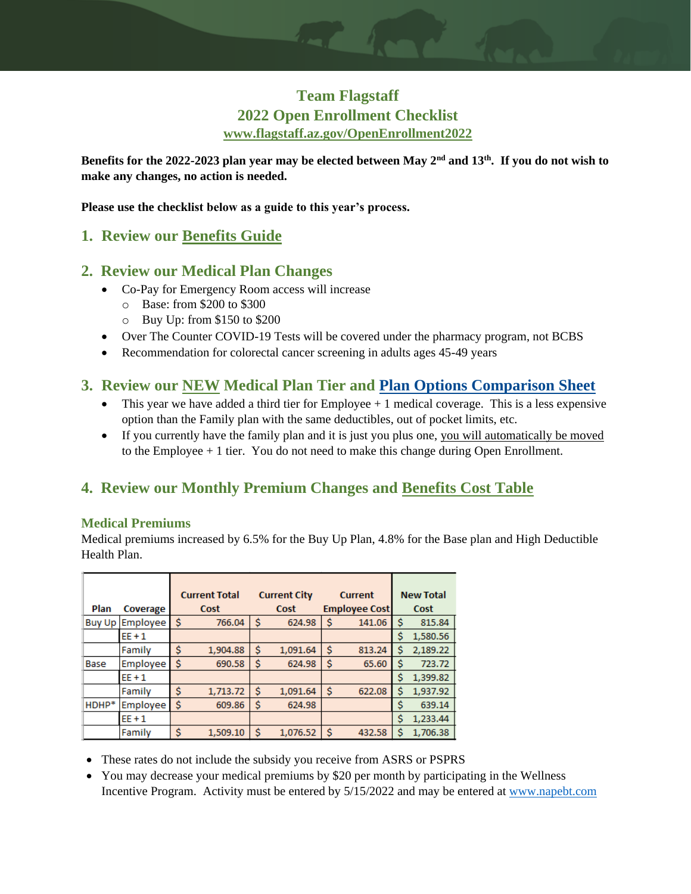# **Team Flagstaff 2022 Open Enrollment Checklist [www.flagstaff.az.gov/OpenEnrollment2022](http://www.flagstaff.az.gov/OpenEnrollment2022)**

**Benefits for the 2022-2023 plan year may be elected between May 2nd and 13th . If you do not wish to make any changes, no action is needed.**

**Please use the checklist below as a guide to this year's process.**

## **1. Review our [Benefits Guide](https://www.flagstaff.az.gov/DocumentCenter/View/71822/NAPEBT-COF-Benefits-Summary-2022?bidId=)**

## **2. Review our Medical Plan Changes**

- Co-Pay for Emergency Room access will increase
	- o Base: from \$200 to \$300
	- o Buy Up: from \$150 to \$200
- Over The Counter COVID-19 Tests will be covered under the pharmacy program, not BCBS
- Recommendation for colorectal cancer screening in adults ages 45-49 years

## **3. Review our NEW Medical Plan Tier and [Plan Options Comparison Sheet](https://www.flagstaff.az.gov/DocumentCenter/View/71821/BCBS-Three-Options-2022-2023?bidId=)**

- This year we have added a third tier for Employee  $+1$  medical coverage. This is a less expensive option than the Family plan with the same deductibles, out of pocket limits, etc.
- If you currently have the family plan and it is just you plus one, you will automatically be moved to the Employee + 1 tier. You do not need to make this change during Open Enrollment.

# **4. Review our Monthly Premium Changes and [Benefits Cost Table](https://www.flagstaff.az.gov/DocumentCenter/View/71820/Benefits-Cost-Table-2022-2023?bidId=)**

#### **Medical Premiums**

Medical premiums increased by 6.5% for the Buy Up Plan, 4.8% for the Base plan and High Deductible Health Plan.

|               |          |    | <b>Current Total</b> |   | <b>Current City</b> |    | <b>Current</b>       |    | <b>New Total</b> |
|---------------|----------|----|----------------------|---|---------------------|----|----------------------|----|------------------|
| Plan          | Coverage |    | Cost                 |   | Cost                |    | <b>Employee Cost</b> |    | Cost             |
| <b>Buy Up</b> | Employee | \$ | 766.04               | Ŝ | 624.98              | Ś  | 141.06               | Ŝ  | 815.84           |
|               | $EE + 1$ |    |                      |   |                     |    |                      | \$ | 1,580.56         |
|               | Family   | \$ | 1,904.88             | Ś | 1,091.64            | Ś  | 813.24               | \$ | 2,189.22         |
| Base          | Employee | \$ | 690.58               | Ś | 624.98              | \$ | 65.60                | Ś  | 723.72           |
|               | $EF + 1$ |    |                      |   |                     |    |                      | \$ | 1,399.82         |
|               | Family   | \$ | 1,713.72             | Ś | 1,091.64            | Ś  | 622.08               | \$ | 1,937.92         |
| HDHP*         | Employee | Ś  | 609.86               | Ś | 624.98              |    |                      | \$ | 639.14           |
|               | $EE + 1$ |    |                      |   |                     |    |                      | \$ | 1,233.44         |
|               | Family   | \$ | 1,509.10             | Ś | 1,076.52            | \$ | 432.58               | \$ | 1,706.38         |

- These rates do not include the subsidy you receive from ASRS or PSPRS
- You may decrease your medical premiums by \$20 per month by participating in the Wellness Incentive Program. Activity must be entered by 5/15/2022 and may be entered at [www.napebt.com](http://www.napebt.com/)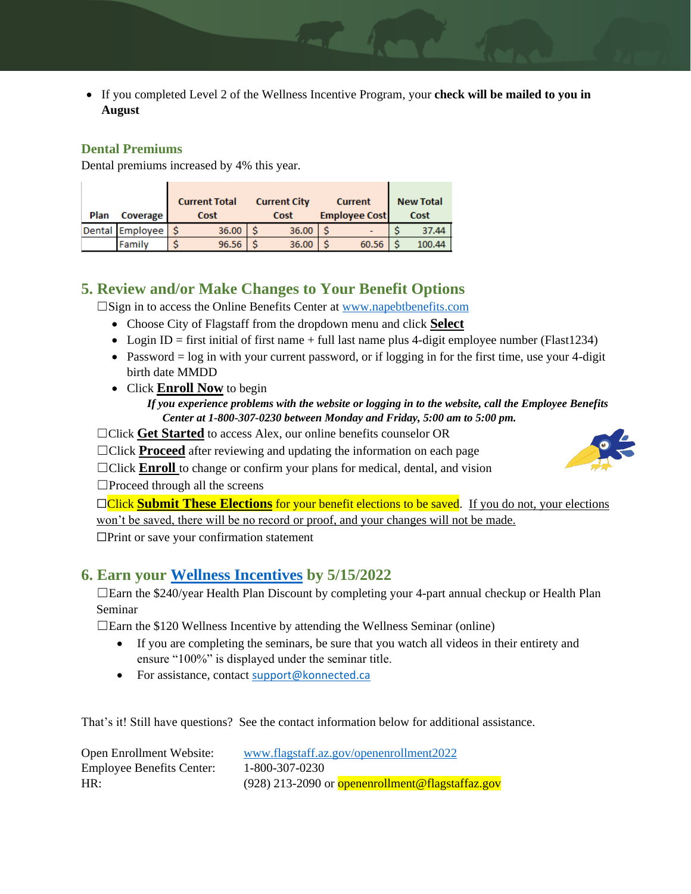• If you completed Level 2 of the Wellness Incentive Program, your **check will be mailed to you in August**

#### **Dental Premiums**

Dental premiums increased by 4% this year.

| Plan | <b>Coverage</b> | <b>Current Total</b><br>Cost | <b>Current City</b><br>Cost | <b>Current</b><br><b>Employee Cost</b> | <b>New Total</b><br><b>Cost</b> |
|------|-----------------|------------------------------|-----------------------------|----------------------------------------|---------------------------------|
|      | Dental Employee | 36.00                        | 36.00                       |                                        | 37.44                           |
|      | <b>Family</b>   | 96.56                        | 36.00                       | 60.56                                  | 100.44                          |

## **5. Review and/or Make Changes to Your Benefit Options**

☐Sign in to access the Online Benefits Center at [www.napebtbenefits.com](http://www.napebtbenefits.com/)

- Choose City of Flagstaff from the dropdown menu and click **Select**
- Login ID = first initial of first name + full last name plus 4-digit employee number (Flast1234)
- Password = log in with your current password, or if logging in for the first time, use your 4-digit birth date MMDD
- Click **Enroll Now** to begin

#### *If you experience problems with the website or logging in to the website, call the Employee Benefits Center at 1-800-307-0230 between Monday and Friday, 5:00 am to 5:00 pm.*

□Click Get Started to access Alex, our online benefits counselor OR

□Click **Proceed** after reviewing and updating the information on each page

□Click **Enroll** to change or confirm your plans for medical, dental, and vision  $\square$ Proceed through all the screens

**□Click Submit These Elections** for your benefit elections to be saved. If you do not, your elections won't be saved, there will be no record or proof, and your changes will not be made. ☐Print or save your confirmation statement

## **6. Earn your [Wellness Incentives](http://www.napebt.com/) by 5/15/2022**

 $\Box$ Earn the \$240/year Health Plan Discount by completing your 4-part annual checkup or Health Plan Seminar

 $\Box$ Earn the \$120 Wellness Incentive by attending the Wellness Seminar (online)

- If you are completing the seminars, be sure that you watch all videos in their entirety and ensure "100%" is displayed under the seminar title.
- For assistance, contact [support@konnected.ca](mailto:support@konnected.ca)

That's it! Still have questions? See the contact information below for additional assistance.

| Open Enrollment Website:         | www.flagstaff.az.gov/openenrollment2022                 |
|----------------------------------|---------------------------------------------------------|
| <b>Employee Benefits Center:</b> | 1-800-307-0230                                          |
| HR:                              | (928) 213-2090 or <b>openenrollment@flagstaffaz.gov</b> |